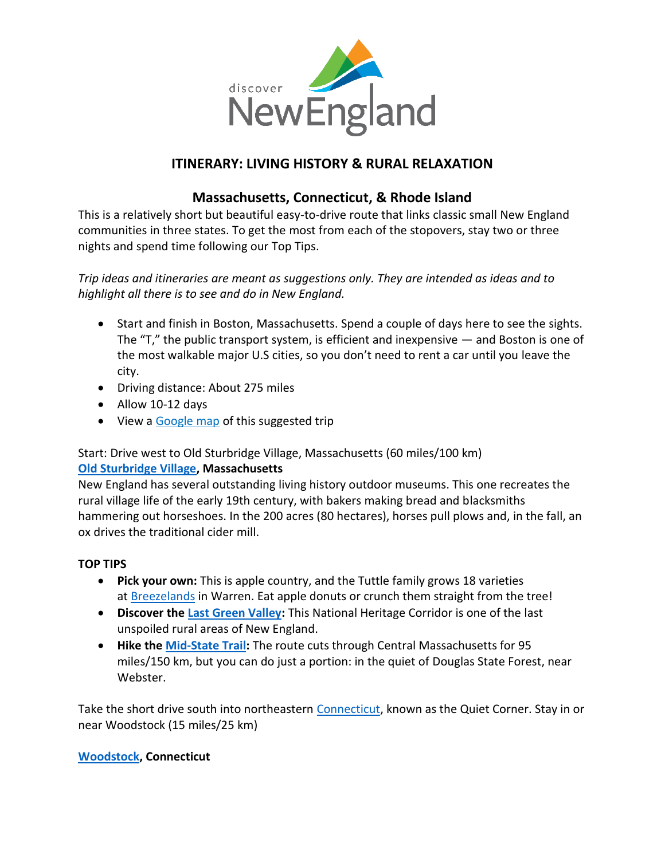

# **ITINERARY: LIVING HISTORY & RURAL RELAXATION**

## **Massachusetts, Connecticut, & Rhode Island**

This is a relatively short but beautiful easy-to-drive route that links classic small New England communities in three states. To get the most from each of the stopovers, stay two or three nights and spend time following our Top Tips.

*Trip ideas and itineraries are meant as suggestions only. They are intended as ideas and to highlight all there is to see and do in New England.*

- Start and finish in [Boston, Massachusetts.](http://www.bostonusa.com/) Spend a couple of days here to see the sights. The  $T$ ," the public transport system, is efficient and inexpensive  $-$  and Boston is one of the most walkable major U.S cities, so you don't need to rent a car until you leave the city.
- Driving distance: About 275 miles
- Allow 10-12 days
- View a Google map [of this suggested trip](http://goo.gl/maps/z6QS)

## Start: Drive west to Old Sturbridge Village, Massachusetts (60 miles/100 km) **[Old Sturbridge Village,](https://www.visitma.com/business/7/) Massachusetts**

New England has several outstanding living history outdoor museums. This one recreates the rural village life of the early 19th century, with bakers making bread and blacksmiths hammering out horseshoes. In the 200 acres (80 hectares), horses pull plows and, in the fall, an ox drives the traditional cider mill.

#### **TOP TIPS**

- **Pick your own:** This is apple country, and the Tuttle family grows 18 varieties at [Breezelands](https://breezelandsorchards.com/) in Warren. Eat apple donuts or crunch them straight from the tree!
- **Discover the [Last Green Valley:](https://thelastgreenvalley.org/)** This National Heritage Corridor is one of the last unspoiled rural areas of New England.
- **Hike the [Mid-State Trail:](https://www.midstatetrail.org/)** The route cuts through Central Massachusetts for 95 miles/150 km, but you can do just a portion: in the quiet of [Douglas State Forest,](http://www.mass.gov/eea/agencies/dcr/massparks/region-central/douglas-state-forest.html) near Webster.

Take the short drive south into northeastern [Connecticut,](https://www.ctvisit.com/) known as the Quiet Corner. Stay in or near Woodstock (15 miles/25 km)

#### **[Woodstock,](https://www.ctvisit.com/listings/town-woodstock) Connecticut**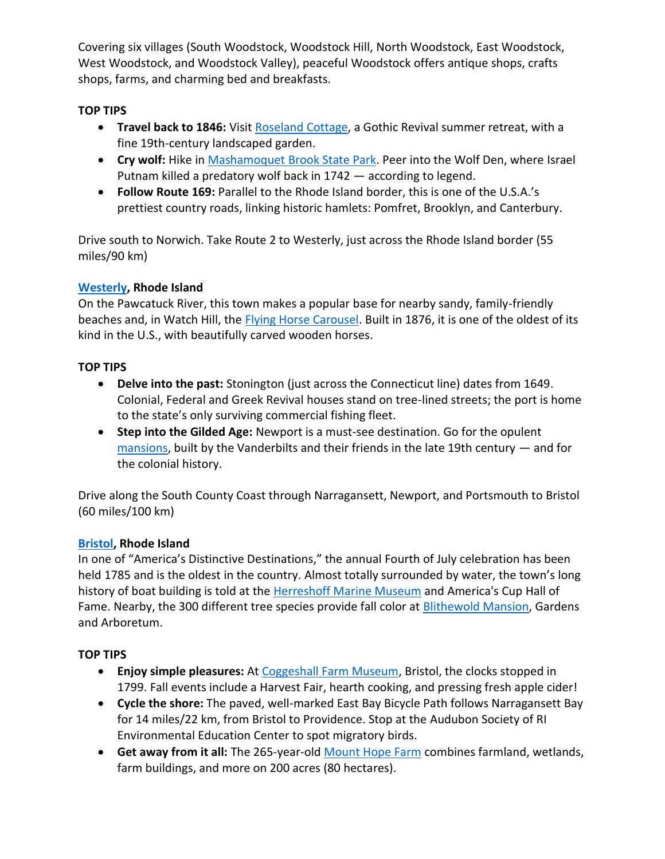Covering six villages (South Woodstock, Woodstock Hill, North Woodstock, East Woodstock, West Woodstock, and Woodstock Valley), peaceful Woodstock offers antique shops, crafts shops, farms, and charming bed and breakfasts.

### **TOP TIPS**

- **Travel back to 1846:** Visit [Roseland Cottage,](https://www.historicnewengland.org/property/roseland-cottage/) a Gothic Revival summer retreat, with a fine 19th-century landscaped garden.
- **Cry wolf:** Hike in **Mashamoquet [Brook State Park.](https://www.ctvisit.com/listings/mashamoquet-brook-state-park) Peer into the Wolf Den, where Israel** Putnam killed a predatory wolf back in 1742 — according to legend.
- **Follow [Route 169:](http://www.fhwa.dot.gov/byways/byways/2451)** Parallel to the Rhode Island border, this is one of the U.S.A.'s prettiest country roads, linking historic hamlets: Pomfret, Brooklyn, and Canterbury.

Drive south to Norwich. Take Route 2 to Westerly, just across the Rhode Island border (55 miles/90 km)

#### **[Westerly,](https://seewesterly.com/) Rhode Island**

On the Pawcatuck River, this town makes a popular base for nearby sandy, family-friendly beaches and, in Watch Hill, the *Flying Horse Carousel*. Built in 1876, it is one of the oldest of its kind in the U.S., with beautifully carved wooden horses.

### **TOP TIPS**

- **Delve into the past:** Stonington (just across the Connecticut line) dates from 1649. Colonial, Federal and Greek Revival houses stand on tree-lined streets; the port is home to the state's only surviving commercial fishing fleet.
- **Step into the [Gilded Age:](http://www.newportmansions.org/)** [Newport](https://www.discovernewport.org/) is a must-see destination. Go for the opulent [mansions,](https://www.visitri.com/state/mansions/) built by the Vanderbilts and their friends in the late 19th century — and for the colonial history.

Drive along the South County Coast through Narragansett, Newport, and Portsmouth to Bristol (60 miles/100 km)

## **[Bristol,](https://explorebristolri.com/) Rhode Island**

In one of "America's Distinctive Destinations," the annual Fourth of July celebration has been held 1785 and is the oldest in the country. Almost totally surrounded by water, the town's long history of boat building is told at the Herreshoff [Marine Museum](https://www.visitrhodeisland.com/listing/herreshoff-marine-museum/8373/) and America's Cup Hall of Fame. Nearby, the 300 different tree species provide fall color at **[Blithewold](https://www.visitrhodeisland.com/listing/blithewold-mansion-gardens-%26-arboretum/8266/) Mansion**, Gardens and Arboretum.

## **TOP TIPS**

- **Enjoy simple pleasures:** At [Coggeshall Farm Museum,](https://www.visitrhodeisland.com/listing/coggeshall-farm-museum/8955/) Bristol, the clocks stopped in 1799. Fall events include a Harvest Fair, hearth cooking, and pressing fresh apple cider!
- **Cycle the shore:** The paved, well-marked East Bay Bicycle Path follows Narragansett Bay for 14 miles/22 km, from Bristol to Providence. Stop at the [Audubon Society of RI](http://asri.org/learn/environmental-education-center.html)  [Environmental Education Center](http://asri.org/learn/environmental-education-center.html) to spot migratory birds.
- **Get away from it all:** The 265-year-old [Mount Hope Farm](https://www.visitrhodeisland.com/listing/mount-hope-farm/8958/) combines farmland, wetlands, farm buildings, and more on 200 acres (80 hectares).